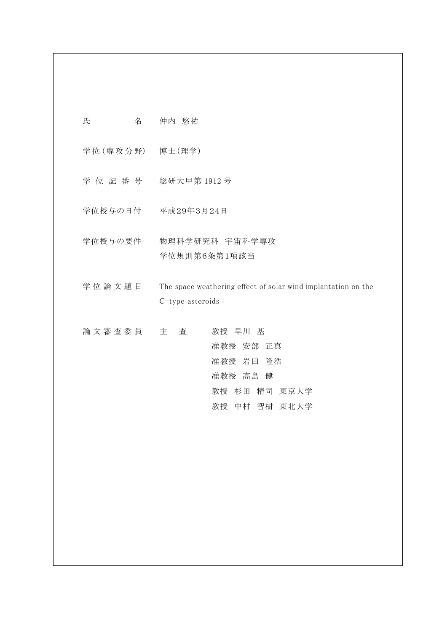| 氏<br>名           | 仲内 悠祐                                                                             |
|------------------|-----------------------------------------------------------------------------------|
| 学位 (専攻分野) 博士(理学) |                                                                                   |
|                  | 学位記番号 総研大甲第1912号                                                                  |
|                  | 学位授与の日付 平成29年3月24日                                                                |
| 学位授与の要件          | 物理科学研究科 宇宙科学専攻<br>学位規則第6条第1項該当                                                    |
| 学位論文題目           | The space weathering effect of solar wind implantation on the<br>C-type asteroids |
| 論 文 審 査 委 員 主    | 教授 早川 基<br>査<br>准教授 安部 正真<br>准教授 岩田<br>隆浩<br>准教授 高島 健<br>教授 杉田 精司 東京大学            |

教授 中村 智樹 東北大学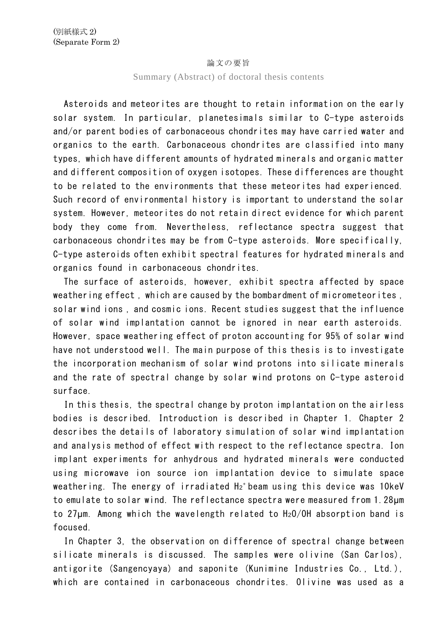## 論文の要旨

## Summary (Abstract) of doctoral thesis contents

Asteroids and meteorites are thought to retain information on the early solar system. In particular, planetesimals similar to C-type asteroids and/or parent bodies of carbonaceous chondrites may have carried water and organics to the earth. Carbonaceous chondrites are classified into many types, which have different amounts of hydrated minerals and organic matter and different composition of oxygen isotopes. These differences are thought to be related to the environments that these meteorites had experienced. Such record of environmental history is important to understand the solar system. However, meteorites do not retain direct evidence for which parent body they come from. Nevertheless, reflectance spectra suggest that carbonaceous chondrites may be from C-type asteroids. More specifically, C-type asteroids often exhibit spectral features for hydrated minerals and organics found in carbonaceous chondrites.

The surface of asteroids, however, exhibit spectra affected by space weathering effect , which are caused by the bombardment of micrometeorites , solar wind ions , and cosmic ions. Recent studies suggest that the influence of solar wind implantation cannot be ignored in near earth asteroids. However, space weathering effect of proton accounting for 95% of solar wind have not understood well. The main purpose of this thesis is to investigate the incorporation mechanism of solar wind protons into silicate minerals and the rate of spectral change by solar wind protons on C-type asteroid surface.

In this thesis, the spectral change by proton implantation on the airless bodies is described. Introduction is described in Chapter 1. Chapter 2 describes the details of laboratory simulation of solar wind implantation and analysis method of effect with respect to the reflectance spectra. Ion implant experiments for anhydrous and hydrated minerals were conducted using microwave ion source ion implantation device to simulate space weathering. The energy of irradiated  $Hz<sup>+</sup>$  beam using this device was 10keV to emulate to solar wind. The reflectance spectra were measured from 1.28μm to 27μm. Among which the wavelength related to H2O/OH absorption band is focused.

In Chapter 3, the observation on difference of spectral change between silicate minerals is discussed. The samples were olivine (San Carlos), antigorite (Sangencyaya) and saponite (Kunimine Industries Co., Ltd.), which are contained in carbonaceous chondrites. Olivine was used as a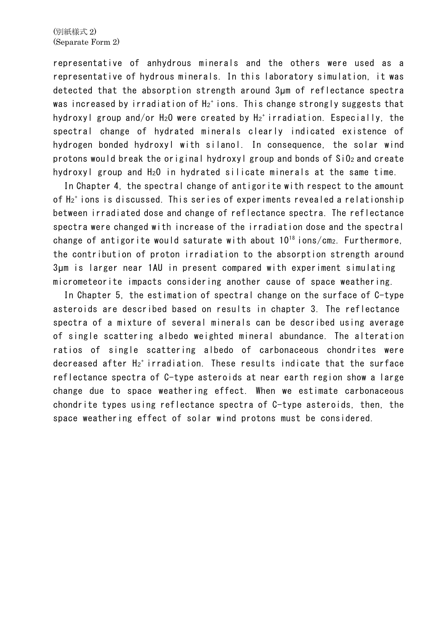representative of anhydrous minerals and the others were used as a representative of hydrous minerals. In this laboratory simulation, it was detected that the absorption strength around 3μm of reflectance spectra was increased by irradiation of H<sup>2</sup> <sup>+</sup> ions. This change strongly suggests that hydroxyl group and/or  $H_2O$  were created by  $H_2$ <sup>+</sup> irradiation. Especially, the spectral change of hydrated minerals clearly indicated existence of hydrogen bonded hydroxyl with silanol. In consequence, the solar wind protons would break the original hydroxyl group and bonds of SiO2 and create hydroxyl group and H2O in hydrated silicate minerals at the same time.

In Chapter 4, the spectral change of antigorite with respect to the amount of H2<sup>+</sup> ions is discussed. This series of experiments revealed a relationship between irradiated dose and change of reflectance spectra. The reflectance spectra were changed with increase of the irradiation dose and the spectral change of antigorite would saturate with about  $10^{18}$  ions/cm<sub>2</sub>. Furthermore, the contribution of proton irradiation to the absorption strength around 3μm is larger near 1AU in present compared with experiment simulating micrometeorite impacts considering another cause of space weathering.

In Chapter 5, the estimation of spectral change on the surface of C-type asteroids are described based on results in chapter 3. The reflectance spectra of a mixture of several minerals can be described using average of single scattering albedo weighted mineral abundance. The alteration ratios of single scattering albedo of carbonaceous chondrites were decreased after H<sup>2</sup> <sup>+</sup> irradiation. These results indicate that the surface reflectance spectra of C-type asteroids at near earth region show a large change due to space weathering effect. When we estimate carbonaceous chondrite types using reflectance spectra of C-type asteroids, then, the space weathering effect of solar wind protons must be considered.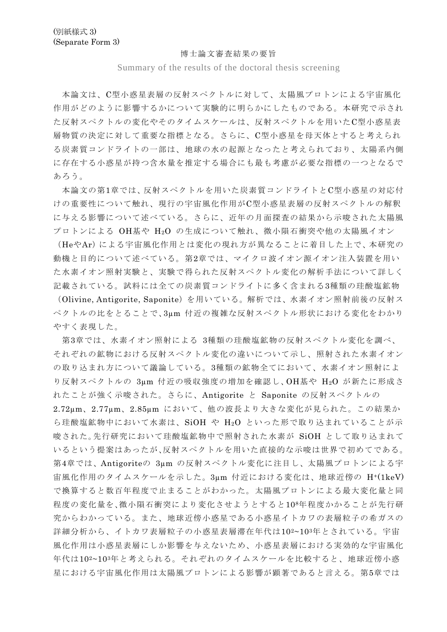## 博士論文審査結果の要旨

Summary of the results of the doctoral thesis screening

本論文は、C型小惑星表層の反射スペクトルに対して、太陽風プロトンによる宇宙風化 作用がどのように影響するかについて実験的に明らかにしたものである。本研究で示され た反射スペクトルの変化やそのタイムスケールは、反射スペクトルを用いたC型小惑星表 層物質の決定に対して重要な指標となる。さらに、C型小惑星を母天体とすると考えられ る炭素質コンドライトの一部は、地球の水の起源となったと考えられており、太陽系内側 に存在する小惑星が持つ含水量を推定する場合にも最も考慮が必要な指標の一つとなるで あろう。

本論文の第1章では、反射スペクトルを用いた炭素質コンドライトとC型小惑星の対応付 けの重要性について触れ、現行の宇宙風化作用がC型小惑星表層の反射スペクトルの解釈 に与える影響について述べている。さらに、近年の月面探査の結果から示唆された太陽風 プロトンによる OH基や H2O の生成について触れ、微小隕石衝突や他の太陽風イオン

(HeやAr)による宇宙風化作用とは変化の現れ方が異なることに着目した上で、本研究の 動機と目的について述べている。第2章では、マイクロ波イオン源イオン注入装置を用い た水素イオン照射実験と、実験で得られた反射スペクトル変化の解析手法について詳しく 記載されている。試料には全ての炭素質コンドライトに多く含まれる3種類の珪酸塩鉱物

(Olivine, Antigorite, Saponite)を用いている。解析では、水素イオン照射前後の反射ス ペクトルの比をとることで、3µm 付近の複雑な反射スペクトル形状における変化をわかり やすく表現した。

第3章では、水素イオン照射による 3種類の珪酸塩鉱物の反射スペクトル変化を調べ、 それぞれの鉱物における反射スペクトル変化の違いについて示し、照射された水素イオン の取り込まれ方について議論している。3種類の鉱物全てにおいて、水素イオン照射によ り反射スペクトルの 3µm 付近の吸収強度の増加を確認し、OH基や H2O が新たに形成さ れたことが強く示唆された。さらに、Antigorite と Saponite の反射スペクトルの 2.72µm、2.77µm、2.85µm において、他の波長より大きな変化が見られた。この結果か ら珪酸塩鉱物中において水素は、SiOH や H2O といった形で取り込まれていることが示 唆された。先行研究において珪酸塩鉱物中で照射された水素が SiOH として取り込まれて いるという提案はあったが、反射スペクトルを用いた直接的な示唆は世界で初めてである。 第4章では、Antigoriteの 3µm の反射スペクトル変化に注目し、太陽風プロトンによる宇 宙風化作用のタイムスケールを示した。3µm 付近における変化は、地球近傍の H+(1keV) で換算すると数百年程度で止まることがわかった。太陽風プロトンによる最大変化量と同 程度の変化量を、微小隕石衝突により変化させようとすると108年程度かかることが先行研 究からわかっている。また、地球近傍小惑星である小惑星イトカワの表層粒子の希ガスの 詳細分析から、イトカワ表層粒子の小惑星表層滞在年代は102~103年とされている。宇宙 風化作用は小惑星表層にしか影響を与えないため、小惑星表層における実効的な宇宙風化 年代は102~103年と考えられる。それぞれのタイムスケールを比較すると、地球近傍小惑 星における宇宙風化作用は太陽風プロトンによる影響が顕著であると言える。第5章では